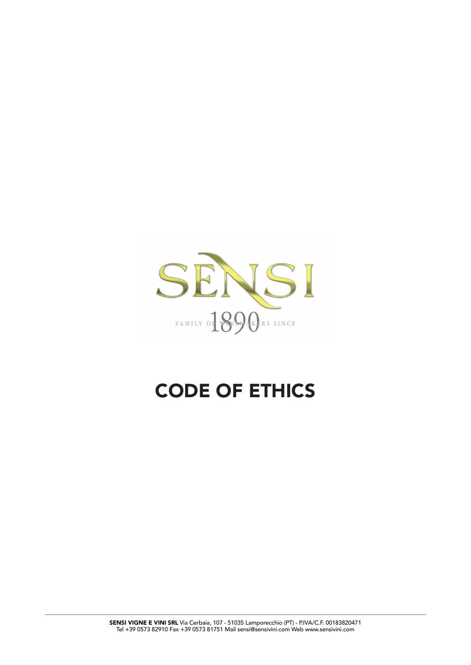

# CODE OF ETHICS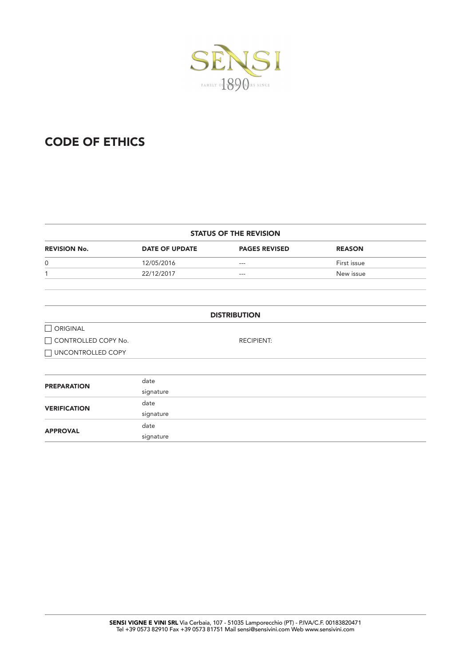

# CODE OF ETHICS

|  |  |  | <b>STATUS OF THE REVISION</b> |  |
|--|--|--|-------------------------------|--|
|--|--|--|-------------------------------|--|

| <b>REVISION No.</b> | <b>DATE OF UPDATE</b> | <b>PAGES REVISED</b> | <b>REASON</b> |
|---------------------|-----------------------|----------------------|---------------|
| $\mathbf{0}$        | 12/05/2016            | $- - -$              | First issue   |
|                     | 22/12/2017            | $- - -$              | New issue     |

|                     | <b>DISTRIBUTION</b> |
|---------------------|---------------------|
| $\Box$ ORIGINAL     |                     |
| CONTROLLED COPY No. | <b>RECIPIENT:</b>   |
| □ UNCONTROLLED COPY |                     |
|                     |                     |
| <b>PREPARATION</b>  | date                |
|                     | signature           |
| <b>VERIFICATION</b> | date                |
|                     | signature           |
| <b>APPROVAL</b>     | date                |
|                     | signature           |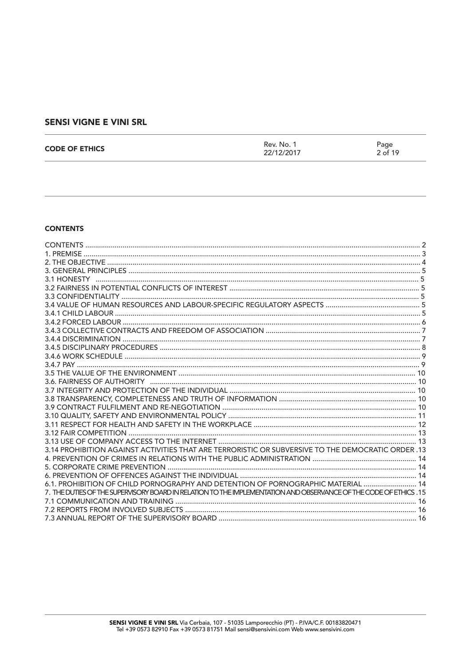| <b>CODE OF ETHICS</b> | Rev. No. 1<br>22/12/2017 | Page<br>2 of 19 |
|-----------------------|--------------------------|-----------------|
|                       |                          |                 |

#### **CONTENTS**

| 3.14 PROHIBITION AGAINST ACTIVITIES THAT ARE TERRORISTIC OR SUBVERSIVE TO THE DEMOCRATIC ORDER .13                |  |
|-------------------------------------------------------------------------------------------------------------------|--|
|                                                                                                                   |  |
|                                                                                                                   |  |
|                                                                                                                   |  |
| 6.1. PROHIBITION OF CHILD PORNOGRAPHY AND DETENTION OF PORNOGRAPHIC MATERIAL  14                                  |  |
| 7. THE DUTIES OF THE SUPERVISORY BOARD IN RELATION TO THE IMPLEMENTATION AND OBSERVANCE OF THE CODE OF ETHICS, 15 |  |
|                                                                                                                   |  |
|                                                                                                                   |  |
|                                                                                                                   |  |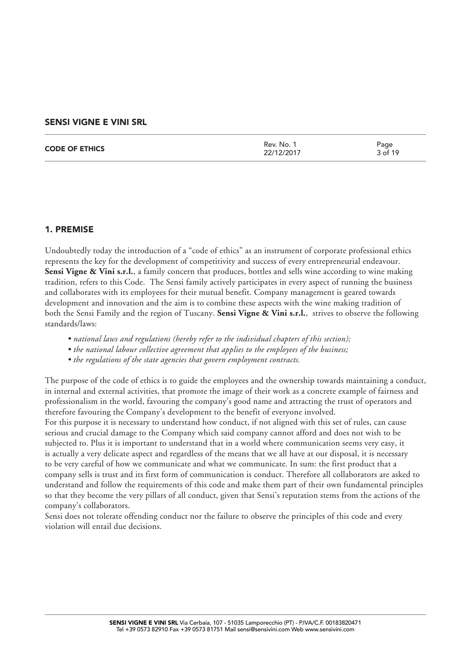| <b>CODE OF ETHICS</b> | Rev. No.<br>22/12/2017 | Page<br>3 of 19 |
|-----------------------|------------------------|-----------------|
|                       |                        |                 |

# 1. PREMISE

Undoubtedly today the introduction of a "code of ethics" as an instrument of corporate professional ethics represents the key for the development of competitivity and success of every entrepreneurial endeavour. Sensi Vigne & Vini s.r.l., a family concern that produces, bottles and sells wine according to wine making tradition, refers to this Code. The Sensi family actively participates in every aspect of running the business and collaborates with its employees for their mutual benefit. Company management is geared towards development and innovation and the aim is to combine these aspects with the wine making tradition of both the Sensi Family and the region of Tuscany. **Sensi Vigne & Vini s.r.l.**, strives to observe the following standards/laws:

- *national laws and regulations (hereby refer to the individual chapters of this section);*
- *the national labour collective agreement that applies to the employees of the business;*
- *the regulations of the state agencies that govern employment contracts.*

The purpose of the code of ethics is to guide the employees and the ownership towards maintaining a conduct, in internal and external activities, that promote the image of their work as a concrete example of fairness and professionalism in the world, favouring the company's good name and attracting the trust of operators and therefore favouring the Company's development to the benefit of everyone involved.

For this purpose it is necessary to understand how conduct, if not aligned with this set of rules, can cause serious and crucial damage to the Company which said company cannot afford and does not wish to be subjected to. Plus it is important to understand that in a world where communication seems very easy, it is actually a very delicate aspect and regardless of the means that we all have at our disposal, it is necessary to be very careful of how we communicate and what we communicate. In sum: the first product that a company sells is trust and its first form of communication is conduct. Therefore all collaborators are asked to understand and follow the requirements of this code and make them part of their own fundamental principles so that they become the very pillars of all conduct, given that Sensi's reputation stems from the actions of the company's collaborators.

Sensi does not tolerate offending conduct nor the failure to observe the principles of this code and every violation will entail due decisions.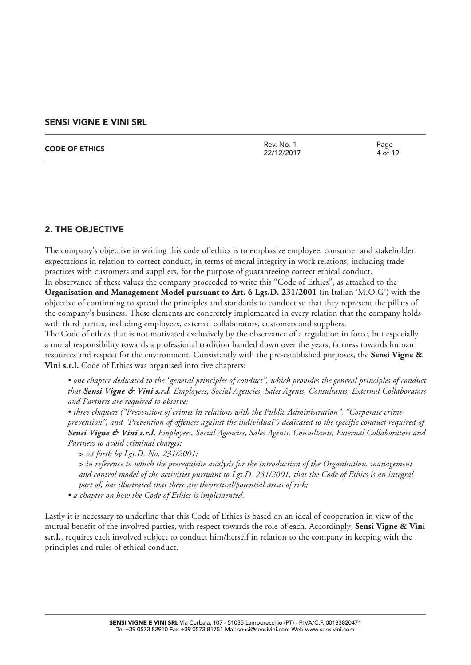| <b>CODE OF ETHICS</b> | Rev. No. 1<br>22/12/2017 | Page<br>4 of 19 |
|-----------------------|--------------------------|-----------------|
|                       |                          |                 |

# 2. THE OBJECTIVE

The company's objective in writing this code of ethics is to emphasize employee, consumer and stakeholder expectations in relation to correct conduct, in terms of moral integrity in work relations, including trade practices with customers and suppliers, for the purpose of guaranteeing correct ethical conduct.

In observance of these values the company proceeded to write this "Code of Ethics", as attached to the **Organisation and Management Model pursuant to Art. 6 Lgs.D. 231/2001** (in Italian 'M.O.G') with the objective of continuing to spread the principles and standards to conduct so that they represent the pillars of the company's business. These elements are concretely implemented in every relation that the company holds with third parties, including employees, external collaborators, customers and suppliers.

The Code of ethics that is not motivated exclusively by the observance of a regulation in force, but especially a moral responsibility towards a professional tradition handed down over the years, fairness towards human resources and respect for the environment. Consistently with the pre-established purposes, the **Sensi Vigne & Vini s.r.l.** Code of Ethics was organised into five chapters:

*• one chapter dedicated to the "general principles of conduct", which provides the general principles of conduct that Sensi Vigne & Vini s.r.l. Employees, Social Agencies, Sales Agents, Consultants, External Collaborators and Partners are required to observe;* 

*• three chapters ("Prevention of crimes in relations with the Public Administration", "Corporate crime prevention", and "Prevention of offences against the individual") dedicated to the specific conduct required of Sensi Vigne & Vini s.r.l. Employees, Social Agencies, Sales Agents, Consultants, External Collaborators and Partners to avoid criminal charges:* 

*> set forth by Lgs.D. No. 231/2001;* 

*> in reference to which the prerequisite analysis for the introduction of the Organisation, management and control model of the activities pursuant to Lgs.D. 231/2001, that the Code of Ethics is an integral part of, has illustrated that there are theoretical/potential areas of risk;* 

*• a chapter on how the Code of Ethics is implemented.* 

Lastly it is necessary to underline that this Code of Ethics is based on an ideal of cooperation in view of the mutual benefit of the involved parties, with respect towards the role of each. Accordingly, **Sensi Vigne & Vini s.r.l.**, requires each involved subject to conduct him/herself in relation to the company in keeping with the principles and rules of ethical conduct.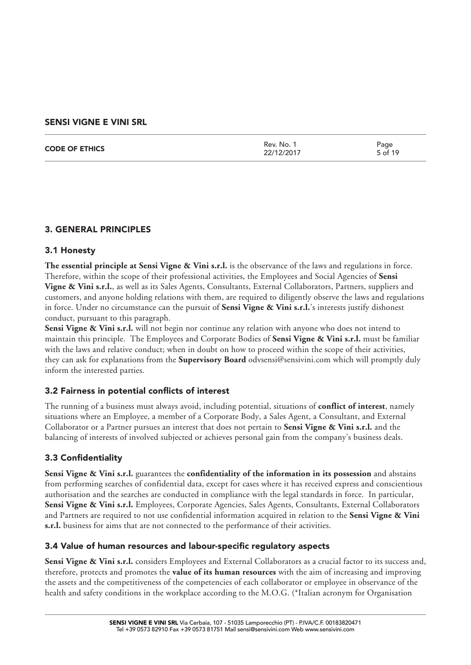| 5 of 19 | <b>CODE OF ETHICS</b> | Rev. No. 1<br>22/12/2017 | Page |
|---------|-----------------------|--------------------------|------|
|---------|-----------------------|--------------------------|------|

# 3. GENERAL PRINCIPLES

# 3.1 Honesty

**The essential principle at Sensi Vigne & Vini s.r.l.** is the observance of the laws and regulations in force. Therefore, within the scope of their professional activities, the Employees and Social Agencies of **Sensi Vigne & Vini s.r.l.**, as well as its Sales Agents, Consultants, External Collaborators, Partners, suppliers and customers, and anyone holding relations with them, are required to diligently observe the laws and regulations in force. Under no circumstance can the pursuit of **Sensi Vigne & Vini s.r.l.**'s interests justify dishonest conduct, pursuant to this paragraph.

**Sensi Vigne & Vini s.r.l.** will not begin nor continue any relation with anyone who does not intend to maintain this principle. The Employees and Corporate Bodies of **Sensi Vigne & Vini s.r.l.** must be familiar with the laws and relative conduct; when in doubt on how to proceed within the scope of their activities, they can ask for explanations from the **Supervisory Board** odvsensi@sensivini.com which will promptly duly inform the interested parties.

# 3.2 Fairness in potential conflicts of interest

The running of a business must always avoid, including potential, situations of **conflict of interest**, namely situations where an Employee, a member of a Corporate Body, a Sales Agent, a Consultant, and External Collaborator or a Partner pursues an interest that does not pertain to **Sensi Vigne & Vini s.r.l.** and the balancing of interests of involved subjected or achieves personal gain from the company's business deals.

# 3.3 Confidentiality

**Sensi Vigne & Vini s.r.l.** guarantees the **confidentiality of the information in its possession** and abstains from performing searches of confidential data, except for cases where it has received express and conscientious authorisation and the searches are conducted in compliance with the legal standards in force. In particular, **Sensi Vigne & Vini s.r.l.** Employees, Corporate Agencies, Sales Agents, Consultants, External Collaborators and Partners are required to not use confidential information acquired in relation to the **Sensi Vigne & Vini s.r.l.** business for aims that are not connected to the performance of their activities.

# 3.4 Value of human resources and labour-specific regulatory aspects

**Sensi Vigne & Vini s.r.l.** considers Employees and External Collaborators as a crucial factor to its success and, therefore, protects and promotes the **value of its human resources** with the aim of increasing and improving the assets and the competitiveness of the competencies of each collaborator or employee in observance of the health and safety conditions in the workplace according to the M.O.G. (\*Italian acronym for Organisation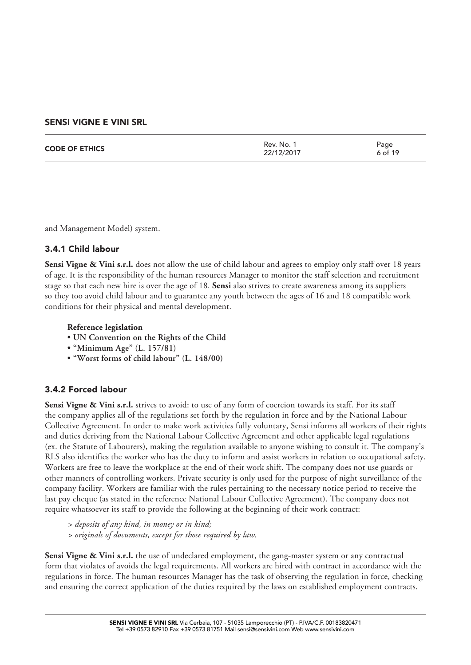| <b>CODE OF ETHICS</b> | Rev. No. 1<br>22/12/2017 | Page<br>6 of 19 |
|-----------------------|--------------------------|-----------------|
|                       |                          |                 |

and Management Model) system.

#### 3.4.1 Child labour

**Sensi Vigne & Vini s.r.l.** does not allow the use of child labour and agrees to employ only staff over 18 years of age. It is the responsibility of the human resources Manager to monitor the staff selection and recruitment stage so that each new hire is over the age of 18. **Sensi** also strives to create awareness among its suppliers so they too avoid child labour and to guarantee any youth between the ages of 16 and 18 compatible work conditions for their physical and mental development.

#### **Reference legislation**

- **UN Convention on the Rights of the Child**
- **"Minimum Age" (L. 157/81)**
- **"Worst forms of child labour" (L. 148/00)**

# 3.4.2 Forced labour

Sensi Vigne & Vini s.r.l. strives to avoid: to use of any form of coercion towards its staff. For its staff the company applies all of the regulations set forth by the regulation in force and by the National Labour Collective Agreement. In order to make work activities fully voluntary, Sensi informs all workers of their rights and duties deriving from the National Labour Collective Agreement and other applicable legal regulations (ex. the Statute of Labourers), making the regulation available to anyone wishing to consult it. The company's RLS also identifies the worker who has the duty to inform and assist workers in relation to occupational safety. Workers are free to leave the workplace at the end of their work shift. The company does not use guards or other manners of controlling workers. Private security is only used for the purpose of night surveillance of the company facility. Workers are familiar with the rules pertaining to the necessary notice period to receive the last pay cheque (as stated in the reference National Labour Collective Agreement). The company does not require whatsoever its staff to provide the following at the beginning of their work contract:

*> deposits of any kind, in money or in kind; > originals of documents, except for those required by law.*

**Sensi Vigne & Vini s.r.l.** the use of undeclared employment, the gang-master system or any contractual form that violates of avoids the legal requirements. All workers are hired with contract in accordance with the regulations in force. The human resources Manager has the task of observing the regulation in force, checking and ensuring the correct application of the duties required by the laws on established employment contracts.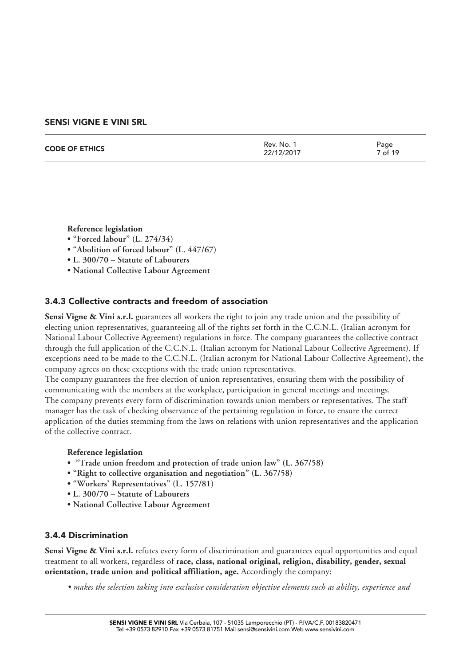| <b>CODE OF ETHICS</b> | Rev. No.<br>22/12/2017 | Page<br><sup>7</sup> of 19 |
|-----------------------|------------------------|----------------------------|
|                       |                        |                            |

**Reference legislation**

- **"Forced labour" (L. 274/34)**
- **"Abolition of forced labour" (L. 447/67)**
- **L. 300/70 Statute of Labourers**
- **National Collective Labour Agreement**

#### 3.4.3 Collective contracts and freedom of association

**Sensi Vigne & Vini s.r.l.** guarantees all workers the right to join any trade union and the possibility of electing union representatives, guaranteeing all of the rights set forth in the C.C.N.L. (Italian acronym for National Labour Collective Agreement) regulations in force. The company guarantees the collective contract through the full application of the C.C.N.L. (Italian acronym for National Labour Collective Agreement). If exceptions need to be made to the C.C.N.L. (Italian acronym for National Labour Collective Agreement), the company agrees on these exceptions with the trade union representatives.

The company guarantees the free election of union representatives, ensuring them with the possibility of communicating with the members at the workplace, participation in general meetings and meetings. The company prevents every form of discrimination towards union members or representatives. The staff manager has the task of checking observance of the pertaining regulation in force, to ensure the correct application of the duties stemming from the laws on relations with union representatives and the application of the collective contract.

#### **Reference legislation**

- **"Trade union freedom and protection of trade union law" (L. 367/58)**
- **"Right to collective organisation and negotiation" (L. 367/58)**
- **"Workers' Representatives" (L. 157/81)**
- **L. 300/70 Statute of Labourers**
- **National Collective Labour Agreement**

#### 3.4.4 Discrimination

**Sensi Vigne & Vini s.r.l.** refutes every form of discrimination and guarantees equal opportunities and equal treatment to all workers, regardless of **race, class, national original, religion, disability, gender, sexual orientation, trade union and political affiliation, age.** Accordingly the company:

*• makes the selection taking into exclusive consideration objective elements such as ability, experience and*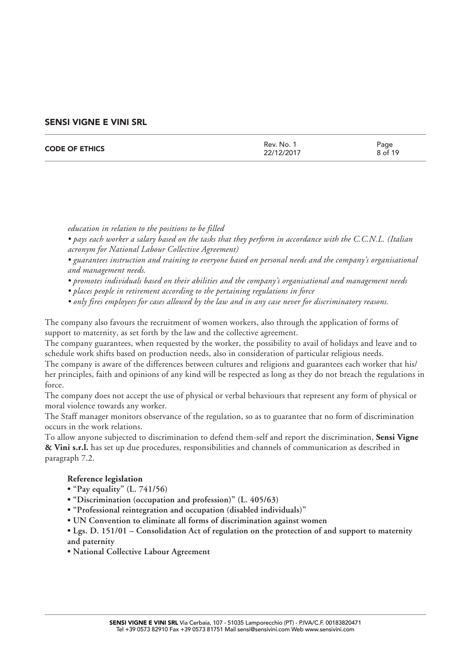| <b>CODE OF ETHICS</b> | Rev. No. 1<br>22/12/2017 | Page<br>8 of 19 |
|-----------------------|--------------------------|-----------------|
|                       |                          |                 |

*education in relation to the positions to be filled*

- *pays each worker a salary based on the tasks that they perform in accordance with the C.C.N.L. (Italian acronym for National Labour Collective Agreement)*
- *guarantees instruction and training to everyone based on personal needs and the company's organisational and management needs.*
- *promotes individuals based on their abilities and the company's organisational and management needs*
- *places people in retirement according to the pertaining regulations in force*
- *only fires employees for cases allowed by the law and in any case never for discriminatory reasons.*

The company also favours the recruitment of women workers, also through the application of forms of support to maternity, as set forth by the law and the collective agreement.

The company guarantees, when requested by the worker, the possibility to avail of holidays and leave and to schedule work shifts based on production needs, also in consideration of particular religious needs.

The company is aware of the differences between cultures and religions and guarantees each worker that his/ her principles, faith and opinions of any kind will be respected as long as they do not breach the regulations in force.

The company does not accept the use of physical or verbal behaviours that represent any form of physical or moral violence towards any worker.

The Staff manager monitors observance of the regulation, so as to guarantee that no form of discrimination occurs in the work relations.

To allow anyone subjected to discrimination to defend them-self and report the discrimination, **Sensi Vigne & Vini s.r.l.** has set up due procedures, responsibilities and channels of communication as described in paragraph 7.2.

#### **Reference legislation**

- **"Pay equality" (L. 741/56)**
- **"Discrimination (occupation and profession)" (L. 405/63)**
- **"Professional reintegration and occupation (disabled individuals)"**
- **UN Convention to eliminate all forms of discrimination against women**
- **Lgs. D. 151/01 Consolidation Act of regulation on the protection of and support to maternity and paternity**
- **National Collective Labour Agreement**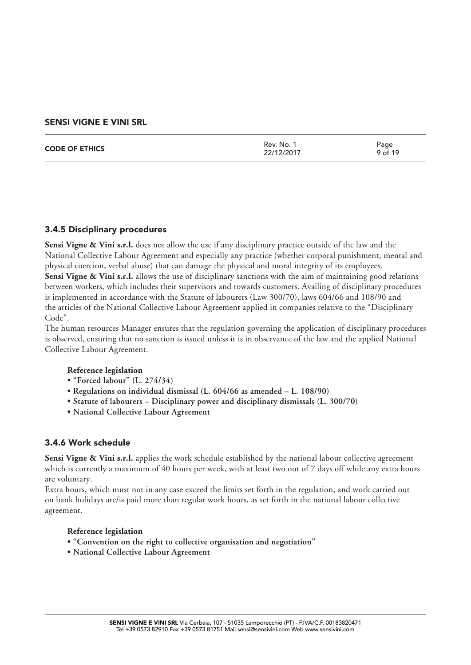| <b>CODE OF ETHICS</b> | Rev. No.<br>22/12/2017 | Page<br>9 of 19 |
|-----------------------|------------------------|-----------------|
|                       |                        |                 |

# 3.4.5 Disciplinary procedures

**Sensi Vigne & Vini s.r.l.** does not allow the use if any disciplinary practice outside of the law and the National Collective Labour Agreement and especially any practice (whether corporal punishment, mental and physical coercion, verbal abuse) that can damage the physical and moral integrity of its employees. **Sensi Vigne & Vini s.r.l.** allows the use of disciplinary sanctions with the aim of maintaining good relations between workers, which includes their supervisors and towards customers. Availing of disciplinary procedures is implemented in accordance with the Statute of labourers (Law 300/70), laws 604/66 and 108/90 and the articles of the National Collective Labour Agreement applied in companies relative to the "Disciplinary Code".

The human resources Manager ensures that the regulation governing the application of disciplinary procedures is observed, ensuring that no sanction is issued unless it is in observance of the law and the applied National Collective Labour Agreement.

#### **Reference legislation**

- **"Forced labour" (L. 274/34)**
- **Regulations on individual dismissal (L. 604/66 as amended L. 108/90)**
- **Statute of labourers Disciplinary power and disciplinary dismissals (L. 300/70)**
- **National Collective Labour Agreement**

# 3.4.6 Work schedule

Sensi Vigne & Vini s.r.l. applies the work schedule established by the national labour collective agreement which is currently a maximum of 40 hours per week, with at least two out of 7 days off while any extra hours are voluntary.

Extra hours, which must not in any case exceed the limits set forth in the regulation, and work carried out on bank holidays are/is paid more than regular work hours, as set forth in the national labour collective agreement.

#### **Reference legislation**

- **"Convention on the right to collective organisation and negotiation"**
- **National Collective Labour Agreement**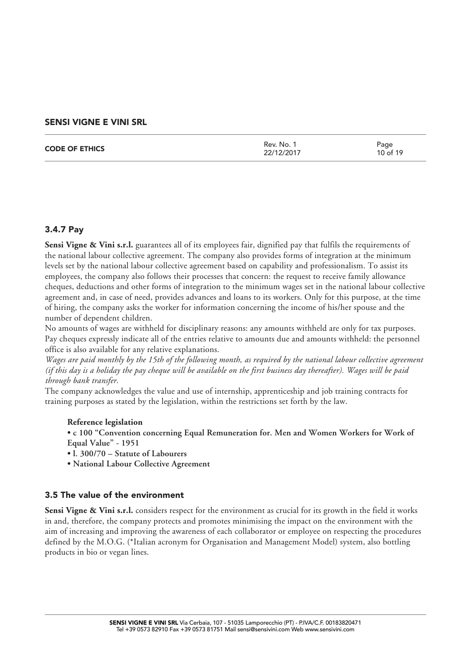| <b>CODE OF ETHICS</b> | Rev. No. 1<br>22/12/2017 | Page<br>10 of 19 |
|-----------------------|--------------------------|------------------|
|                       |                          |                  |

# 3.4.7 Pay

**Sensi Vigne & Vini s.r.l.** guarantees all of its employees fair, dignified pay that fulfils the requirements of the national labour collective agreement. The company also provides forms of integration at the minimum levels set by the national labour collective agreement based on capability and professionalism. To assist its employees, the company also follows their processes that concern: the request to receive family allowance cheques, deductions and other forms of integration to the minimum wages set in the national labour collective agreement and, in case of need, provides advances and loans to its workers. Only for this purpose, at the time of hiring, the company asks the worker for information concerning the income of his/her spouse and the number of dependent children.

No amounts of wages are withheld for disciplinary reasons: any amounts withheld are only for tax purposes. Pay cheques expressly indicate all of the entries relative to amounts due and amounts withheld: the personnel office is also available for any relative explanations.

*Wages are paid monthly by the 15th of the following month, as required by the national labour collective agreement (if this day is a holiday the pay cheque will be available on the first business day thereafter). Wages will be paid through bank transfer.*

The company acknowledges the value and use of internship, apprenticeship and job training contracts for training purposes as stated by the legislation, within the restrictions set forth by the law.

#### **Reference legislation**

**• c 100 "Convention concerning Equal Remuneration for. Men and Women Workers for Work of Equal Value" - 1951**

- **l. 300/70 Statute of Labourers**
- **National Labour Collective Agreement**

#### 3.5 The value of the environment

**Sensi Vigne & Vini s.r.l.** considers respect for the environment as crucial for its growth in the field it works in and, therefore, the company protects and promotes minimising the impact on the environment with the aim of increasing and improving the awareness of each collaborator or employee on respecting the procedures defined by the M.O.G. (\*Italian acronym for Organisation and Management Model) system, also bottling products in bio or vegan lines.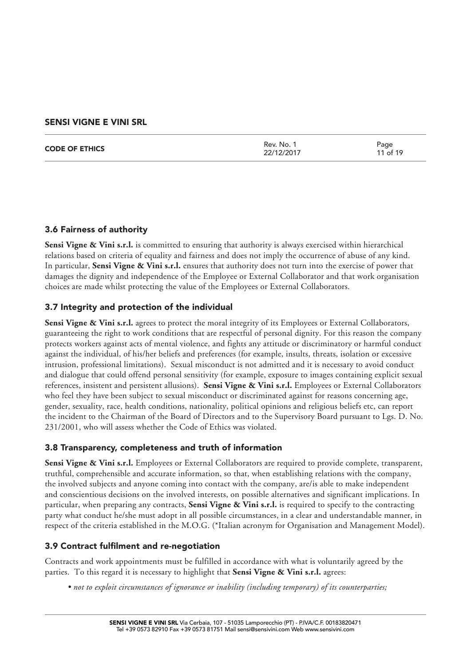|  | <b>CODE OF ETHICS</b> | Rev. No. 1<br>22/12/2017 | Page<br>11 of 19 |
|--|-----------------------|--------------------------|------------------|
|--|-----------------------|--------------------------|------------------|

# 3.6 Fairness of authority

**Sensi Vigne & Vini s.r.l.** is committed to ensuring that authority is always exercised within hierarchical relations based on criteria of equality and fairness and does not imply the occurrence of abuse of any kind. In particular, **Sensi Vigne & Vini s.r.l.** ensures that authority does not turn into the exercise of power that damages the dignity and independence of the Employee or External Collaborator and that work organisation choices are made whilst protecting the value of the Employees or External Collaborators.

# 3.7 Integrity and protection of the individual

Sensi Vigne & Vini s.r.l. agrees to protect the moral integrity of its Employees or External Collaborators, guaranteeing the right to work conditions that are respectful of personal dignity. For this reason the company protects workers against acts of mental violence, and fights any attitude or discriminatory or harmful conduct against the individual, of his/her beliefs and preferences (for example, insults, threats, isolation or excessive intrusion, professional limitations). Sexual misconduct is not admitted and it is necessary to avoid conduct and dialogue that could offend personal sensitivity (for example, exposure to images containing explicit sexual references, insistent and persistent allusions). **Sensi Vigne & Vini s.r.l.** Employees or External Collaborators who feel they have been subject to sexual misconduct or discriminated against for reasons concerning age, gender, sexuality, race, health conditions, nationality, political opinions and religious beliefs etc, can report the incident to the Chairman of the Board of Directors and to the Supervisory Board pursuant to Lgs. D. No. 231/2001, who will assess whether the Code of Ethics was violated.

# 3.8 Transparency, completeness and truth of information

**Sensi Vigne & Vini s.r.l.** Employees or External Collaborators are required to provide complete, transparent, truthful, comprehensible and accurate information, so that, when establishing relations with the company, the involved subjects and anyone coming into contact with the company, are/is able to make independent and conscientious decisions on the involved interests, on possible alternatives and significant implications. In particular, when preparing any contracts, **Sensi Vigne & Vini s.r.l.** is required to specify to the contracting party what conduct he/she must adopt in all possible circumstances, in a clear and understandable manner, in respect of the criteria established in the M.O.G. (\*Italian acronym for Organisation and Management Model).

# 3.9 Contract fulfilment and re-negotiation

Contracts and work appointments must be fulfilled in accordance with what is voluntarily agreed by the parties. To this regard it is necessary to highlight that **Sensi Vigne & Vini s.r.l.** agrees:

*• not to exploit circumstances of ignorance or inability (including temporary) of its counterparties;*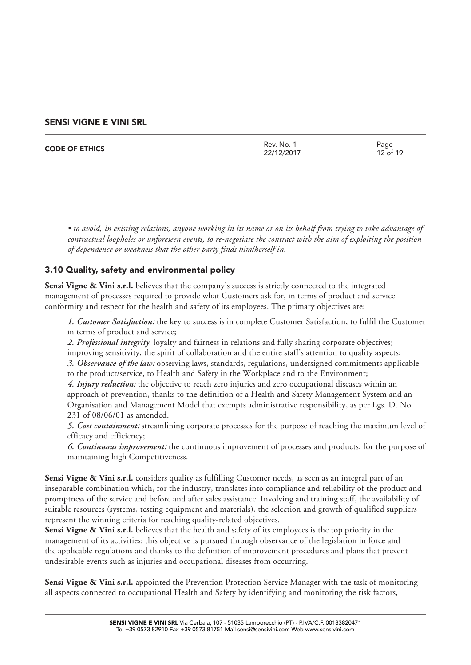| <b>CODE OF ETHICS</b> | Rev. No. 1<br>22/12/2017 | Page<br>12 of 19 |
|-----------------------|--------------------------|------------------|
|                       |                          |                  |

*• to avoid, in existing relations, anyone working in its name or on its behalf from trying to take advantage of contractual loopholes or unforeseen events, to re-negotiate the contract with the aim of exploiting the position of dependence or weakness that the other party finds him/herself in.* 

# 3.10 Quality, safety and environmental policy

**Sensi Vigne & Vini s.r.l.** believes that the company's success is strictly connected to the integrated management of processes required to provide what Customers ask for, in terms of product and service conformity and respect for the health and safety of its employees. The primary objectives are:

*1. Customer Satisfaction:* the key to success is in complete Customer Satisfaction, to fulfil the Customer in terms of product and service;

*2. Professional integrity*: loyalty and fairness in relations and fully sharing corporate objectives; improving sensitivity, the spirit of collaboration and the entire staff's attention to quality aspects; *3. Observance of the law:* observing laws, standards, regulations, undersigned commitments applicable

to the product/service, to Health and Safety in the Workplace and to the Environment;

*4. Injury reduction:* the objective to reach zero injuries and zero occupational diseases within an approach of prevention, thanks to the definition of a Health and Safety Management System and an Organisation and Management Model that exempts administrative responsibility, as per Lgs. D. No. 231 of 08/06/01 as amended.

*5. Cost containment:* streamlining corporate processes for the purpose of reaching the maximum level of efficacy and efficiency;

*6. Continuous improvement:* the continuous improvement of processes and products, for the purpose of maintaining high Competitiveness.

**Sensi Vigne & Vini s.r.l.** considers quality as fulfilling Customer needs, as seen as an integral part of an inseparable combination which, for the industry, translates into compliance and reliability of the product and promptness of the service and before and after sales assistance. Involving and training staff, the availability of suitable resources (systems, testing equipment and materials), the selection and growth of qualified suppliers represent the winning criteria for reaching quality-related objectives.

**Sensi Vigne & Vini s.r.l.** believes that the health and safety of its employees is the top priority in the management of its activities: this objective is pursued through observance of the legislation in force and the applicable regulations and thanks to the definition of improvement procedures and plans that prevent undesirable events such as injuries and occupational diseases from occurring.

**Sensi Vigne & Vini s.r.l.** appointed the Prevention Protection Service Manager with the task of monitoring all aspects connected to occupational Health and Safety by identifying and monitoring the risk factors,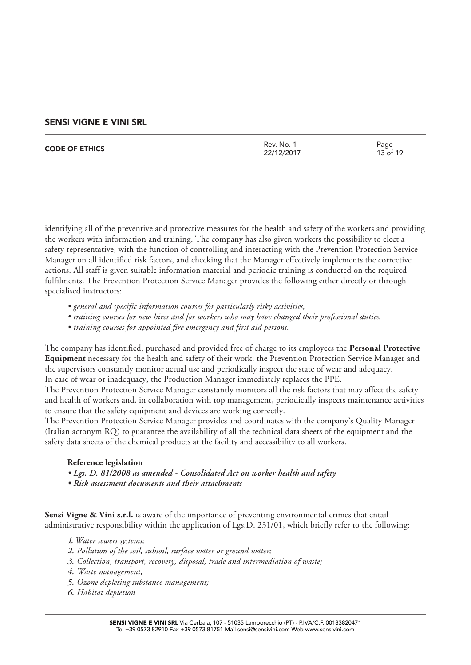| <b>CODE OF ETHICS</b> | Rev. No.<br>22/12/2017 | Page<br>13 of 19 |
|-----------------------|------------------------|------------------|
|                       |                        |                  |

identifying all of the preventive and protective measures for the health and safety of the workers and providing the workers with information and training. The company has also given workers the possibility to elect a safety representative, with the function of controlling and interacting with the Prevention Protection Service Manager on all identified risk factors, and checking that the Manager effectively implements the corrective actions. All staff is given suitable information material and periodic training is conducted on the required fulfilments. The Prevention Protection Service Manager provides the following either directly or through specialised instructors:

- *general and specific information courses for particularly risky activities,*
- *training courses for new hires and for workers who may have changed their professional duties,*
- *training courses for appointed fire emergency and first aid persons.*

The company has identified, purchased and provided free of charge to its employees the **Personal Protective Equipment** necessary for the health and safety of their work: the Prevention Protection Service Manager and the supervisors constantly monitor actual use and periodically inspect the state of wear and adequacy. In case of wear or inadequacy, the Production Manager immediately replaces the PPE.

The Prevention Protection Service Manager constantly monitors all the risk factors that may affect the safety and health of workers and, in collaboration with top management, periodically inspects maintenance activities to ensure that the safety equipment and devices are working correctly.

The Prevention Protection Service Manager provides and coordinates with the company's Quality Manager (Italian acronym RQ) to guarantee the availability of all the technical data sheets of the equipment and the safety data sheets of the chemical products at the facility and accessibility to all workers.

#### **Reference legislation**

- *Lgs. D. 81/2008 as amended Consolidated Act on worker health and safety*
- *Risk assessment documents and their attachments*

Sensi Vigne & Vini s.r.l. is aware of the importance of preventing environmental crimes that entail administrative responsibility within the application of Lgs.D. 231/01, which briefly refer to the following:

- *1. Water sewers systems;*
- *2. Pollution of the soil, subsoil, surface water or ground water;*
- *3. Collection, transport, recovery, disposal, trade and intermediation of waste;*
- *4. Waste management;*
- *5. Ozone depleting substance management;*
- *6. Habitat depletion*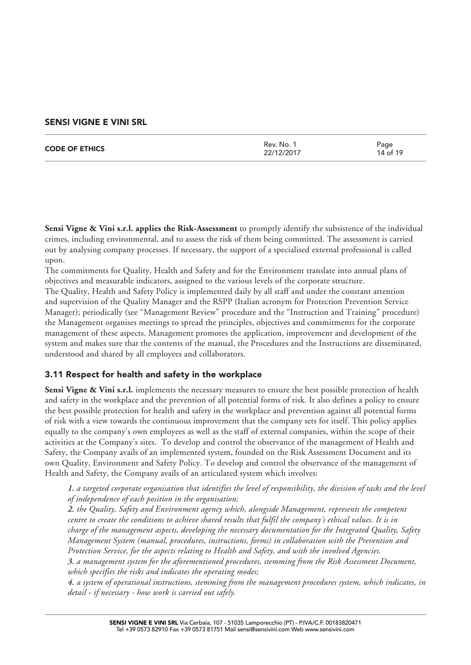| <b>CODE OF ETHICS</b> | Rev. No. 1<br>22/12/2017 | Page<br>14 of 19 |
|-----------------------|--------------------------|------------------|
|                       |                          |                  |

**Sensi Vigne & Vini s.r.l. applies the Risk-Assessment** to promptly identify the subsistence of the individual crimes, including environmental, and to assess the risk of them being committed. The assessment is carried out by analysing company processes. If necessary, the support of a specialised external professional is called upon.

The commitments for Quality, Health and Safety and for the Environment translate into annual plans of objectives and measurable indicators, assigned to the various levels of the corporate structure.

The Quality, Health and Safety Policy is implemented daily by all staff and under the constant attention and supervision of the Quality Manager and the RSPP (Italian acronym for Protection Prevention Service Manager); periodically (see "Management Review" procedure and the "Instruction and Training" procedure) the Management organises meetings to spread the principles, objectives and commitments for the corporate management of these aspects. Management promotes the application, improvement and development of the system and makes sure that the contents of the manual, the Procedures and the Instructions are disseminated, understood and shared by all employees and collaborators.

# 3.11 Respect for health and safety in the workplace

**Sensi Vigne & Vini s.r.l.** implements the necessary measures to ensure the best possible protection of health and safety in the workplace and the prevention of all potential forms of risk. It also defines a policy to ensure the best possible protection for health and safety in the workplace and prevention against all potential forms of risk with a view towards the continuous improvement that the company sets for itself. This policy applies equally to the company's own employees as well as the staff of external companies, within the scope of their activities at the Company's sites. To develop and control the observance of the management of Health and Safety, the Company avails of an implemented system, founded on the Risk Assessment Document and its own Quality, Environment and Safety Policy. To develop and control the observance of the management of Health and Safety, the Company avails of an articulated system which involves:

*1. a targeted corporate organisation that identifies the level of responsibility, the division of tasks and the level of independence of each position in the organisation;*

*2. the Quality, Safety and Environment agency which, alongside Management, represents the competent centre to create the conditions to achieve shared results that fulfil the company's ethical values. It is in charge of the management aspects, developing the necessary documentation for the Integrated Quality, Safety Management System (manual, procedures, instructions, forms) in collaboration with the Prevention and Protection Service, for the aspects relating to Health and Safety, and with the involved Agencies.*

*3. a management system for the aforementioned procedures, stemming from the Risk Assessment Document, which specifies the risks and indicates the operating modes;*

*4. a system of operational instructions, stemming from the management procedures system, which indicates, in detail - if necessary - how work is carried out safely.*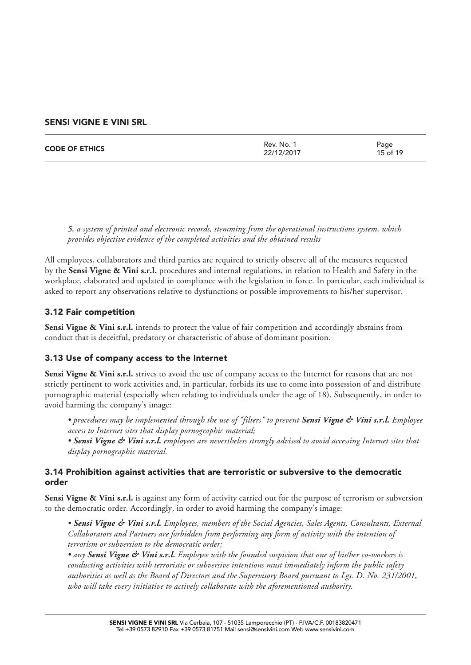| Rev. No. 1<br><b>CODE OF ETHICS</b><br>22/12/2017 |  | Page<br>15 of 19 |
|---------------------------------------------------|--|------------------|
|---------------------------------------------------|--|------------------|

*5. a system of printed and electronic records, stemming from the operational instructions system, which provides objective evidence of the completed activities and the obtained results*

All employees, collaborators and third parties are required to strictly observe all of the measures requested by the **Sensi Vigne & Vini s.r.l.** procedures and internal regulations, in relation to Health and Safety in the workplace, elaborated and updated in compliance with the legislation in force. In particular, each individual is asked to report any observations relative to dysfunctions or possible improvements to his/her supervisor.

# 3.12 Fair competition

**Sensi Vigne & Vini s.r.l.** intends to protect the value of fair competition and accordingly abstains from conduct that is deceitful, predatory or characteristic of abuse of dominant position.

# 3.13 Use of company access to the Internet

**Sensi Vigne & Vini s.r.l.** strives to avoid the use of company access to the Internet for reasons that are not strictly pertinent to work activities and, in particular, forbids its use to come into possession of and distribute pornographic material (especially when relating to individuals under the age of 18). Subsequently, in order to avoid harming the company's image:

*• procedures may be implemented through the use of "filters" to prevent Sensi Vigne & Vini s.r.l. Employee access to Internet sites that display pornographic material;* 

*• Sensi Vigne & Vini s.r.l. employees are nevertheless strongly advised to avoid accessing Internet sites that display pornographic material.* 

# 3.14 Prohibition against activities that are terroristic or subversive to the democratic order

**Sensi Vigne & Vini s.r.l.** is against any form of activity carried out for the purpose of terrorism or subversion to the democratic order. Accordingly, in order to avoid harming the company's image:

*• Sensi Vigne & Vini s.r.l. Employees, members of the Social Agencies, Sales Agents, Consultants, External Collaborators and Partners are forbidden from performing any form of activity with the intention of terrorism or subversion to the democratic order;* 

*• any Sensi Vigne & Vini s.r.l. Employee with the founded suspicion that one of his/her co-workers is conducting activities with terroristic or subversive intentions must immediately inform the public safety authorities as well as the Board of Directors and the Supervisory Board pursuant to Lgs. D. No. 231/2001, who will take every initiative to actively collaborate with the aforementioned authority.*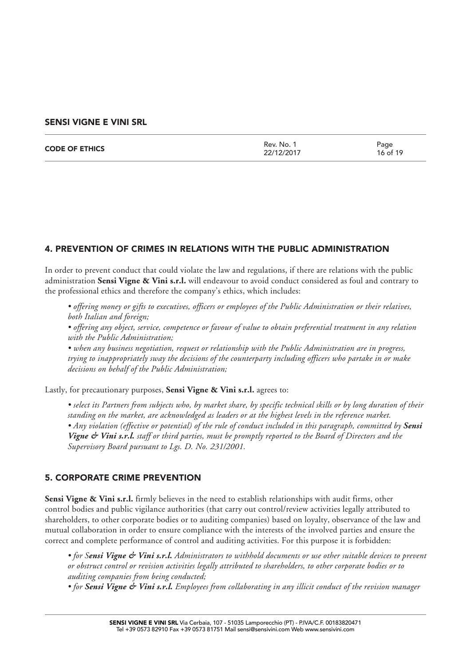| <b>CODE OF ETHICS</b> | Rev. No. 1<br>22/12/2017 | Page<br>16 of 19 |
|-----------------------|--------------------------|------------------|
|                       |                          |                  |

#### 4. PREVENTION OF CRIMES IN RELATIONS WITH THE PUBLIC ADMINISTRATION

In order to prevent conduct that could violate the law and regulations, if there are relations with the public administration **Sensi Vigne & Vini s.r.l.** will endeavour to avoid conduct considered as foul and contrary to the professional ethics and therefore the company's ethics, which includes:

*• offering money or gifts to executives, officers or employees of the Public Administration or their relatives, both Italian and foreign;* 

*• offering any object, service, competence or favour of value to obtain preferential treatment in any relation with the Public Administration;* 

*• when any business negotiation, request or relationship with the Public Administration are in progress, trying to inappropriately sway the decisions of the counterparty including officers who partake in or make decisions on behalf of the Public Administration;* 

Lastly, for precautionary purposes, **Sensi Vigne & Vini s.r.l.** agrees to:

*• select its Partners from subjects who, by market share, by specific technical skills or by long duration of their standing on the market, are acknowledged as leaders or at the highest levels in the reference market. • Any violation (effective or potential) of the rule of conduct included in this paragraph, committed by Sensi Vigne & Vini s.r.l. staff or third parties, must be promptly reported to the Board of Directors and the Supervisory Board pursuant to Lgs. D. No. 231/2001.*

# 5. CORPORATE CRIME PREVENTION

**Sensi Vigne & Vini s.r.l.** firmly believes in the need to establish relationships with audit firms, other control bodies and public vigilance authorities (that carry out control/review activities legally attributed to shareholders, to other corporate bodies or to auditing companies) based on loyalty, observance of the law and mutual collaboration in order to ensure compliance with the interests of the involved parties and ensure the correct and complete performance of control and auditing activities. For this purpose it is forbidden:

*• for Sensi Vigne & Vini s.r.l. Administrators to withhold documents or use other suitable devices to prevent or obstruct control or revision activities legally attributed to shareholders, to other corporate bodies or to auditing companies from being conducted;* 

*• for Sensi Vigne & Vini s.r.l. Employees from collaborating in any illicit conduct of the revision manager*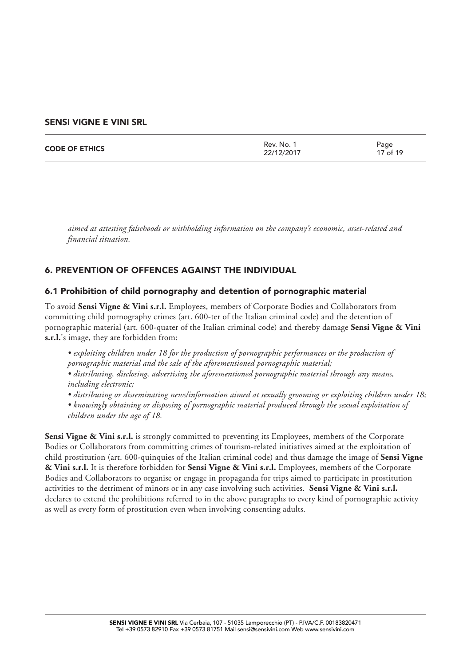| <b>CODE OF ETHICS</b> | Rev. No.<br>22/12/2017 | Page<br>17 of 19 |
|-----------------------|------------------------|------------------|
|                       |                        |                  |

*aimed at attesting falsehoods or withholding information on the company's economic, asset-related and financial situation.* 

# 6. PREVENTION OF OFFENCES AGAINST THE INDIVIDUAL

#### 6.1 Prohibition of child pornography and detention of pornographic material

To avoid **Sensi Vigne & Vini s.r.l.** Employees, members of Corporate Bodies and Collaborators from committing child pornography crimes (art. 600-ter of the Italian criminal code) and the detention of pornographic material (art. 600-quater of the Italian criminal code) and thereby damage **Sensi Vigne & Vini s.r.l.**'s image, they are forbidden from:

- *exploiting children under 18 for the production of pornographic performances or the production of pornographic material and the sale of the aforementioned pornographic material;*
- *distributing, disclosing, advertising the aforementioned pornographic material through any means, including electronic;*
- *distributing or disseminating news/information aimed at sexually grooming or exploiting children under 18;*
- *knowingly obtaining or disposing of pornographic material produced through the sexual exploitation of children under the age of 18.*

**Sensi Vigne & Vini s.r.l.** is strongly committed to preventing its Employees, members of the Corporate Bodies or Collaborators from committing crimes of tourism-related initiatives aimed at the exploitation of child prostitution (art. 600-quinquies of the Italian criminal code) and thus damage the image of **Sensi Vigne & Vini s.r.l.** It is therefore forbidden for **Sensi Vigne & Vini s.r.l.** Employees, members of the Corporate Bodies and Collaborators to organise or engage in propaganda for trips aimed to participate in prostitution activities to the detriment of minors or in any case involving such activities. **Sensi Vigne & Vini s.r.l.** declares to extend the prohibitions referred to in the above paragraphs to every kind of pornographic activity as well as every form of prostitution even when involving consenting adults.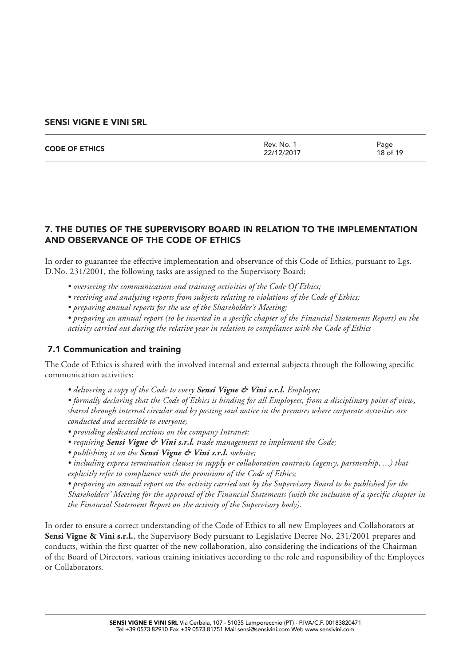| <b>CODE OF ETHICS</b> | Rev. No. 1<br>22/12/2017 | Page<br>18 of 19 |
|-----------------------|--------------------------|------------------|
|                       |                          |                  |

# 7. THE DUTIES OF THE SUPERVISORY BOARD IN RELATION TO THE IMPLEMENTATION AND OBSERVANCE OF THE CODE OF ETHICS

In order to guarantee the effective implementation and observance of this Code of Ethics, pursuant to Lgs. D.No. 231/2001, the following tasks are assigned to the Supervisory Board:

- *overseeing the communication and training activities of the Code Of Ethics;*
- *receiving and analysing reports from subjects relating to violations of the Code of Ethics;*
- *preparing annual reports for the use of the Shareholder's Meeting;*

*• preparing an annual report (to be inserted in a specific chapter of the Financial Statements Report) on the activity carried out during the relative year in relation to compliance with the Code of Ethics*

#### 7.1 Communication and training

The Code of Ethics is shared with the involved internal and external subjects through the following specific communication activities:

*• delivering a copy of the Code to every Sensi Vigne & Vini s.r.l. Employee;* 

*• formally declaring that the Code of Ethics is binding for all Employees, from a disciplinary point of view, shared through internal circular and by posting said notice in the premises where corporate activities are conducted and accessible to everyone;* 

- *providing dedicated sections on the company Intranet;*
- *requiring Sensi Vigne & Vini s.r.l. trade management to implement the Code;*
- *publishing it on the Sensi Vigne & Vini s.r.l. website;*
- *including express termination clauses in supply or collaboration contracts (agency, partnership, ...) that explicitly refer to compliance with the provisions of the Code of Ethics;*

*• preparing an annual report on the activity carried out by the Supervisory Board to be published for the Shareholders' Meeting for the approval of the Financial Statements (with the inclusion of a specific chapter in the Financial Statement Report on the activity of the Supervisory body).* 

In order to ensure a correct understanding of the Code of Ethics to all new Employees and Collaborators at **Sensi Vigne & Vini s.r.l.**, the Supervisory Body pursuant to Legislative Decree No. 231/2001 prepares and conducts, within the first quarter of the new collaboration, also considering the indications of the Chairman of the Board of Directors, various training initiatives according to the role and responsibility of the Employees or Collaborators.